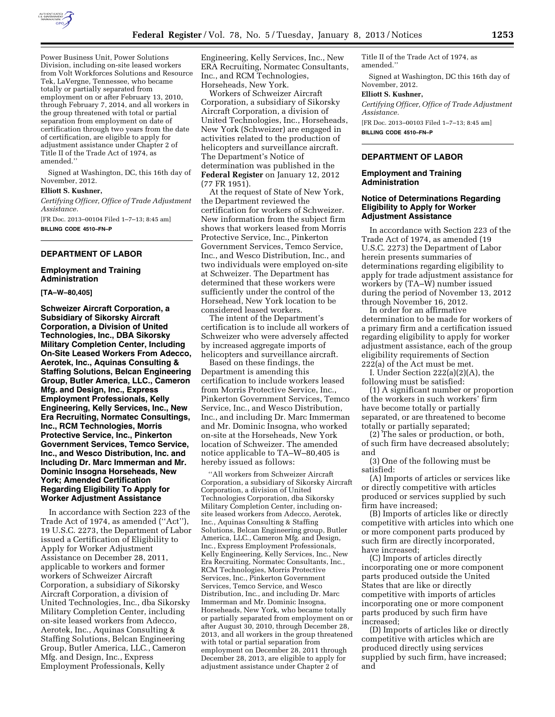

Power Business Unit, Power Solutions Division, including on-site leased workers from Volt Workforces Solutions and Resource Tek, LaVergne, Tennessee, who became totally or partially separated from employment on or after February 13, 2010, through February 7, 2014, and all workers in the group threatened with total or partial separation from employment on date of certification through two years from the date of certification, are eligible to apply for adjustment assistance under Chapter 2 of Title II of the Trade Act of 1974, as amended.''

Signed at Washington, DC, this 16th day of November, 2012.

### **Elliott S. Kushner,**

*Certifying Officer, Office of Trade Adjustment Assistance.* 

[FR Doc. 2013–00104 Filed 1–7–13; 8:45 am] **BILLING CODE 4510–FN–P** 

### **DEPARTMENT OF LABOR**

#### **Employment and Training Administration**

#### **[TA–W–80,405]**

**Schweizer Aircraft Corporation, a Subsidiary of Sikorsky Aircraft Corporation, a Division of United Technologies, Inc., DBA Sikorsky Military Completion Center, Including On-Site Leased Workers From Adecco, Aerotek, Inc., Aquinas Consulting & Staffing Solutions, Belcan Engineering Group, Butler America, LLC., Cameron Mfg. and Design, Inc., Express Employment Professionals, Kelly Engineering, Kelly Services, Inc., New Era Recruiting, Normatec Consultings, Inc., RCM Technologies, Morris Protective Service, Inc., Pinkerton Government Services, Temco Service, Inc., and Wesco Distribution, Inc. and Including Dr. Marc Immerman and Mr. Dominic Insogna Horseheads, New York; Amended Certification Regarding Eligibility To Apply for Worker Adjustment Assistance** 

In accordance with Section 223 of the Trade Act of 1974, as amended (''Act''), 19 U.S.C. 2273, the Department of Labor issued a Certification of Eligibility to Apply for Worker Adjustment Assistance on December 28, 2011, applicable to workers and former workers of Schweizer Aircraft Corporation, a subsidiary of Sikorsky Aircraft Corporation, a division of United Technologies, Inc., dba Sikorsky Military Completion Center, including on-site leased workers from Adecco, Aerotek, Inc., Aquinas Consulting & Staffing Solutions, Belcan Engineering Group, Butler America, LLC., Cameron Mfg. and Design, Inc., Express Employment Professionals, Kelly

Engineering, Kelly Services, Inc., New ERA Recruiting, Normatec Consultants, Inc., and RCM Technologies, Horseheads, New York.

Workers of Schweizer Aircraft Corporation, a subsidiary of Sikorsky Aircraft Corporation, a division of United Technologies, Inc., Horseheads, New York (Schweizer) are engaged in activities related to the production of helicopters and surveillance aircraft. The Department's Notice of determination was published in the **Federal Register** on January 12, 2012 (77 FR 1951).

At the request of State of New York, the Department reviewed the certification for workers of Schweizer. New information from the subject firm shows that workers leased from Morris Protective Service, Inc., Pinkerton Government Services, Temco Service, Inc., and Wesco Distribution, Inc., and two individuals were employed on-site at Schweizer. The Department has determined that these workers were sufficiently under the control of the Horsehead, New York location to be considered leased workers.

The intent of the Department's certification is to include all workers of Schweizer who were adversely affected by increased aggregate imports of helicopters and surveillance aircraft.

Based on these findings, the Department is amending this certification to include workers leased from Morris Protective Service, Inc., Pinkerton Government Services, Temco Service, Inc., and Wesco Distribution, Inc., and including Dr. Marc Immerman and Mr. Dominic Insogna, who worked on-site at the Horseheads, New York location of Schweizer. The amended notice applicable to TA–W–80,405 is hereby issued as follows:

''All workers from Schweizer Aircraft Corporation, a subsidiary of Sikorsky Aircraft Corporation, a division of United Technologies Corporation, dba Sikorsky Military Completion Center, including onsite leased workers from Adecco, Aerotek, Inc., Aquinas Consulting & Staffing Solutions, Belcan Engineering group, Butler America, LLC., Cameron Mfg. and Design, Inc., Express Employment Professionals, Kelly Engineering, Kelly Services, Inc., New Era Recruiting, Normatec Consultants, Inc., RCM Technologies, Morris Protective Services, Inc., Pinkerton Government Services, Temco Service, and Wesco Distribution, Inc., and including Dr. Marc Immerman and Mr. Dominic Insogna, Horseheads, New York, who became totally or partially separated from employment on or after August 30, 2010, through December 28, 2013, and all workers in the group threatened with total or partial separation from employment on December 28, 2011 through December 28, 2013, are eligible to apply for adjustment assistance under Chapter 2 of

Title II of the Trade Act of 1974, as amended.''

Signed at Washington, DC this 16th day of November, 2012.

#### **Elliott S. Kushner,**

*Certifying Officer, Office of Trade Adjustment Assistance.* 

[FR Doc. 2013–00103 Filed 1–7–13; 8:45 am] **BILLING CODE 4510–FN–P** 

### **DEPARTMENT OF LABOR**

### **Employment and Training Administration**

## **Notice of Determinations Regarding Eligibility to Apply for Worker Adjustment Assistance**

In accordance with Section 223 of the Trade Act of 1974, as amended (19 U.S.C. 2273) the Department of Labor herein presents summaries of determinations regarding eligibility to apply for trade adjustment assistance for workers by (TA–W) number issued during the period of November 13, 2012 through November 16, 2012.

In order for an affirmative determination to be made for workers of a primary firm and a certification issued regarding eligibility to apply for worker adjustment assistance, each of the group eligibility requirements of Section 222(a) of the Act must be met.

I. Under Section 222(a)(2)(A), the following must be satisfied:

(1) A significant number or proportion of the workers in such workers' firm have become totally or partially separated, or are threatened to become totally or partially separated;

(2) The sales or production, or both, of such firm have decreased absolutely; and

(3) One of the following must be satisfied:

(A) Imports of articles or services like or directly competitive with articles produced or services supplied by such firm have increased;

(B) Imports of articles like or directly competitive with articles into which one or more component parts produced by such firm are directly incorporated, have increased;

(C) Imports of articles directly incorporating one or more component parts produced outside the United States that are like or directly competitive with imports of articles incorporating one or more component parts produced by such firm have increased;

(D) Imports of articles like or directly competitive with articles which are produced directly using services supplied by such firm, have increased; and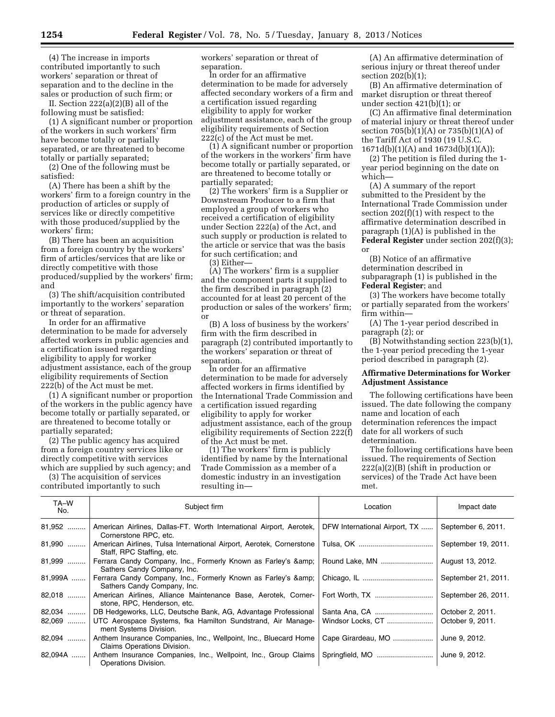(4) The increase in imports contributed importantly to such workers' separation or threat of separation and to the decline in the sales or production of such firm; or

II. Section 222(a)(2)(B) all of the following must be satisfied:

(1) A significant number or proportion of the workers in such workers' firm have become totally or partially separated, or are threatened to become totally or partially separated;

(2) One of the following must be satisfied:

(A) There has been a shift by the workers' firm to a foreign country in the production of articles or supply of services like or directly competitive with those produced/supplied by the workers' firm;

(B) There has been an acquisition from a foreign country by the workers' firm of articles/services that are like or directly competitive with those produced/supplied by the workers' firm; and

(3) The shift/acquisition contributed importantly to the workers' separation or threat of separation.

In order for an affirmative determination to be made for adversely affected workers in public agencies and a certification issued regarding eligibility to apply for worker adjustment assistance, each of the group eligibility requirements of Section 222(b) of the Act must be met.

(1) A significant number or proportion of the workers in the public agency have become totally or partially separated, or are threatened to become totally or partially separated;

(2) The public agency has acquired from a foreign country services like or directly competitive with services which are supplied by such agency; and

(3) The acquisition of services contributed importantly to such

workers' separation or threat of separation.

In order for an affirmative determination to be made for adversely affected secondary workers of a firm and a certification issued regarding eligibility to apply for worker adjustment assistance, each of the group eligibility requirements of Section 222(c) of the Act must be met.

(1) A significant number or proportion of the workers in the workers' firm have become totally or partially separated, or are threatened to become totally or partially separated;

(2) The workers' firm is a Supplier or Downstream Producer to a firm that employed a group of workers who received a certification of eligibility under Section 222(a) of the Act, and such supply or production is related to the article or service that was the basis for such certification; and

(3) Either—

(A) The workers' firm is a supplier and the component parts it supplied to the firm described in paragraph (2) accounted for at least 20 percent of the production or sales of the workers' firm; or

(B) A loss of business by the workers' firm with the firm described in paragraph (2) contributed importantly to the workers' separation or threat of separation.

In order for an affirmative determination to be made for adversely affected workers in firms identified by the International Trade Commission and a certification issued regarding eligibility to apply for worker adjustment assistance, each of the group eligibility requirements of Section 222(f) of the Act must be met.

(1) The workers' firm is publicly identified by name by the International Trade Commission as a member of a domestic industry in an investigation resulting in—

(A) An affirmative determination of serious injury or threat thereof under section 202(b)(1);

(B) An affirmative determination of market disruption or threat thereof under section 421(b)(1); or

(C) An affirmative final determination of material injury or threat thereof under section 705(b)(1)(A) or 735(b)(1)(A) of the Tariff Act of 1930 (19 U.S.C. 1671d(b)(1)(A) and 1673d(b)(1)(A));

(2) The petition is filed during the 1 year period beginning on the date on which—

(A) A summary of the report submitted to the President by the International Trade Commission under section 202(f)(1) with respect to the affirmative determination described in paragraph (1)(A) is published in the **Federal Register** under section 202(f)(3); or

(B) Notice of an affirmative determination described in subparagraph (1) is published in the **Federal Register**; and

(3) The workers have become totally or partially separated from the workers' firm within—

(A) The 1-year period described in paragraph (2); or

(B) Notwithstanding section 223(b)(1), the 1-year period preceding the 1-year period described in paragraph (2).

# **Affirmative Determinations for Worker Adjustment Assistance**

The following certifications have been issued. The date following the company name and location of each determination references the impact date for all workers of such determination.

The following certifications have been issued. The requirements of Section  $222(a)(2)(B)$  (shift in production or services) of the Trade Act have been met.

| TA-W<br>No. | Subject firm                                                                                      | Location                      | Impact date         |
|-------------|---------------------------------------------------------------------------------------------------|-------------------------------|---------------------|
| 81,952      | American Airlines, Dallas-FT. Worth International Airport, Aerotek,<br>Cornerstone RPC, etc.      | DFW International Airport, TX | September 6, 2011.  |
| 81,990      | American Airlines, Tulsa International Airport, Aerotek, Cornerstone<br>Staff, RPC Staffing, etc. |                               | September 19, 2011. |
| 81,999      | Ferrara Candy Company, Inc., Formerly Known as Farley's & amp;<br>Sathers Candy Company, Inc.     | Round Lake, MN                | August 13, 2012.    |
| 81,999A     | Ferrara Candy Company, Inc., Formerly Known as Farley's & amp;<br>Sathers Candy Company, Inc.     |                               | September 21, 2011. |
| 82,018      | American Airlines, Alliance Maintenance Base, Aerotek, Corner-<br>stone, RPC, Henderson, etc.     |                               | September 26, 2011. |
| $82,034$    | DB Hedgeworks, LLC, Deutsche Bank, AG, Advantage Professional                                     |                               | October 2, 2011.    |
| 82,069      | UTC Aerospace Systems, fka Hamilton Sundstrand, Air Manage-<br>ment Systems Division.             | Windsor Locks, CT             | October 9, 2011.    |
| 82,094      | Anthem Insurance Companies, Inc., Wellpoint, Inc., Bluecard Home<br>Claims Operations Division.   | Cape Girardeau, MO            | June 9, 2012.       |
| 82,094A     | Anthem Insurance Companies, Inc., Wellpoint, Inc., Group Claims<br>Operations Division.           |                               | June 9, 2012.       |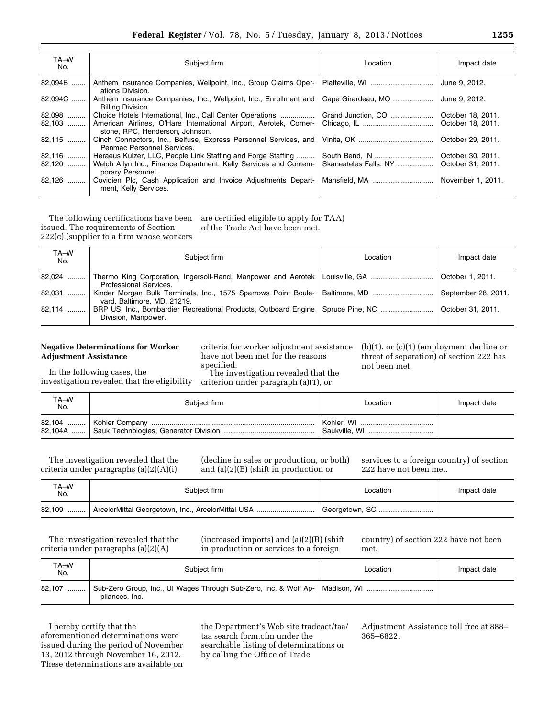| TA-W<br>No.   | Subject firm                                                                                         | Location              | Impact date       |
|---------------|------------------------------------------------------------------------------------------------------|-----------------------|-------------------|
| 82,094B       | Anthem Insurance Companies, Wellpoint, Inc., Group Claims Oper-<br>ations Division.                  |                       | June 9, 2012.     |
| 82,094C       | Anthem Insurance Companies, Inc., Wellpoint, Inc., Enrollment and<br>Billing Division.               | Cape Girardeau, MO    | June 9, 2012.     |
| 82,098<br>. 1 | Choice Hotels International, Inc., Call Center Operations                                            | Grand Junction, CO    | October 18, 2011. |
| $82,103$      | American Airlines, O'Hare International Airport, Aerotek, Corner-<br>stone, RPC, Henderson, Johnson. |                       | October 18, 2011. |
| $82,115$      | Cinch Connectors, Inc., Belfuse, Express Personnel Services, and<br>Penmac Personnel Services.       |                       | October 29, 2011. |
|               | 82,116    Heraeus Kulzer, LLC, People Link Staffing and Forge Staffing                               |                       | October 30, 2011. |
| $82,120$      | Welch Allyn Inc., Finance Department, Kelly Services and Contem-<br>porary Personnel.                | Skaneateles Falls, NY | October 31, 2011. |
| $82,126$      | Covidien Plc, Cash Application and Invoice Adjustments Depart-<br>ment, Kelly Services.              |                       | November 1, 2011. |

The following certifications have been issued. The requirements of Section 222(c) (supplier to a firm whose workers are certified eligible to apply for TAA) of the Trade Act have been met.

| TA-W<br>No. | Subiect firm                                                                                                                               | Location | Impact date         |
|-------------|--------------------------------------------------------------------------------------------------------------------------------------------|----------|---------------------|
|             | 82,024  Thermo King Corporation, Ingersoll-Rand, Manpower and Aerotek   Louisville, GA    October 1, 2011.<br><b>Professional Services</b> |          |                     |
| 82,031      | Kinder Morgan Bulk Terminals, Inc., 1575 Sparrows Point Boule-   Baltimore, MD<br>vard, Baltimore, MD, 21219.                              |          | September 28, 2011. |
| 82,114      | BRP US, Inc., Bombardier Recreational Products, Outboard Engine   Spruce Pine, NC<br>Division, Manpower,                                   |          | October 31, 2011.   |

# **Negative Determinations for Worker Adjustment Assistance**

criteria for worker adjustment assistance have not been met for the reasons specified.

criterion under paragraph (a)(1), or

(b)(1), or (c)(1) (employment decline or threat of separation) of section 222 has not been met.

In the following cases, the investigation revealed that the eligibility

The investigation revealed that the

| TA-W<br>No. | Subject firm | Location      | Impact date |
|-------------|--------------|---------------|-------------|
|             |              | Baukville, WI |             |

The investigation revealed that the criteria under paragraphs (a)(2)(A)(i)

(decline in sales or production, or both) and (a)(2)(B) (shift in production or

services to a foreign country) of section 222 have not been met.

| TA-W<br>No. | Subject firm                                                | Location | Impact date |
|-------------|-------------------------------------------------------------|----------|-------------|
|             | 82,109    ArcelorMittal Georgetown, Inc., ArcelorMittal USA |          |             |

The investigation revealed that the criteria under paragraphs (a)(2)(A)

(increased imports) and (a)(2)(B) (shift in production or services to a foreign

country) of section 222 have not been met.

| TA-W<br>No. | Subject firm                                                                                     | Location | Impact date |
|-------------|--------------------------------------------------------------------------------------------------|----------|-------------|
| 82,107      | Sub-Zero Group, Inc., UI Wages Through Sub-Zero, Inc. & Wolf Ap-   Madison, WI<br>pliances, Inc. |          |             |

I hereby certify that the aforementioned determinations were issued during the period of November 13, 2012 through November 16, 2012. These determinations are available on

the Department's Web site tradeact/taa/ taa search form.cfm under the searchable listing of determinations or by calling the Office of Trade

Adjustment Assistance toll free at 888– 365–6822.